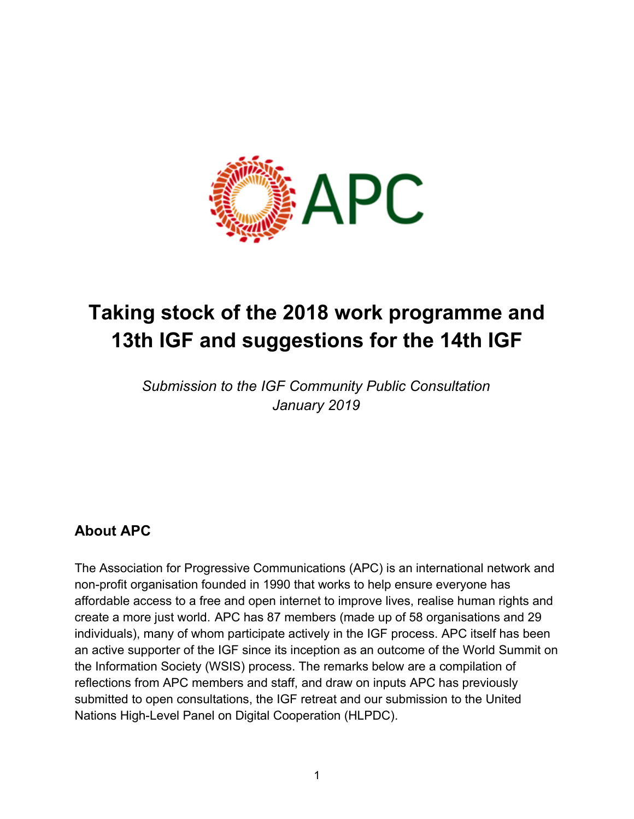

# **Taking stock of the 2018 work programme and 13th IGF and suggestions for the 14th IGF**

*Submission to the IGF Community Public Consultation January 2019*

## **About APC**

The Association for Progressive Communications (APC) is an international network and non-profit organisation founded in 1990 that works to help ensure everyone has affordable access to a free and open internet to improve lives, realise human rights and create a more just world. APC has 87 members (made up of 58 organisations and 29 individuals), many of whom participate actively in the IGF process. APC itself has been an active supporter of the IGF since its inception as an outcome of the World Summit on the Information Society (WSIS) process. The remarks below are a compilation of reflections from APC members and staff, and draw on inputs APC has previously submitted to open consultations, the IGF retreat and our submission to the United Nations High-Level Panel on Digital Cooperation (HLPDC).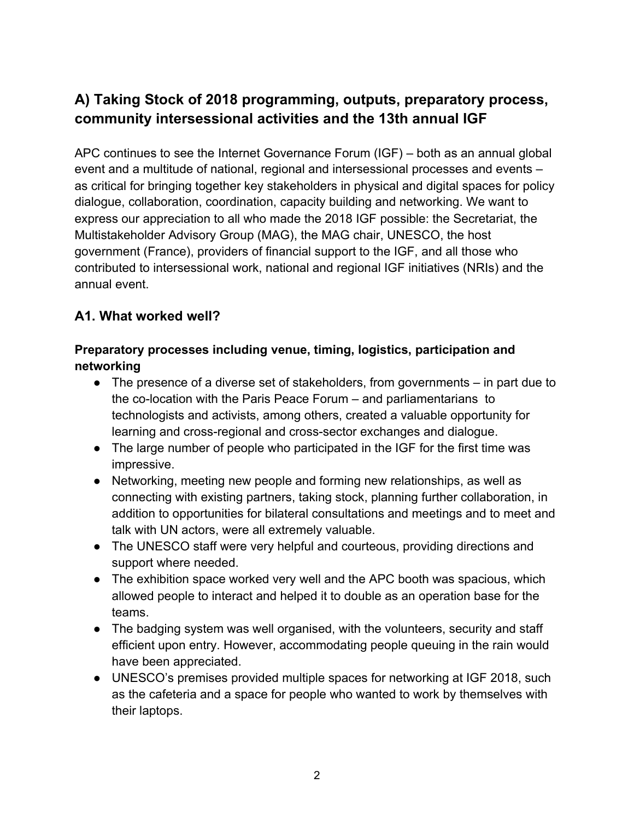# **A) Taking Stock of 2018 programming, outputs, preparatory process, community intersessional activities and the 13th annual IGF**

APC continues to see the Internet Governance Forum (IGF) – both as an annual global event and a multitude of national, regional and intersessional processes and events – as critical for bringing together key stakeholders in physical and digital spaces for policy dialogue, collaboration, coordination, capacity building and networking. We want to express our appreciation to all who made the 2018 IGF possible: the Secretariat, the Multistakeholder Advisory Group (MAG), the MAG chair, UNESCO, the host government (France), providers of financial support to the IGF, and all those who contributed to intersessional work, national and regional IGF initiatives (NRIs) and the annual event.

#### **A1. What worked well?**

#### **Preparatory processes including venue, timing, logistics, participation and networking**

- The presence of a diverse set of stakeholders, from governments in part due to the co-location with the Paris Peace Forum – and parliamentarians to technologists and activists, among others, created a valuable opportunity for learning and cross-regional and cross-sector exchanges and dialogue.
- The large number of people who participated in the IGF for the first time was impressive.
- Networking, meeting new people and forming new relationships, as well as connecting with existing partners, taking stock, planning further collaboration, in addition to opportunities for bilateral consultations and meetings and to meet and talk with UN actors, were all extremely valuable.
- The UNESCO staff were very helpful and courteous, providing directions and support where needed.
- The exhibition space worked very well and the APC booth was spacious, which allowed people to interact and helped it to double as an operation base for the teams.
- The badging system was well organised, with the volunteers, security and staff efficient upon entry. However, accommodating people queuing in the rain would have been appreciated.
- UNESCO's premises provided multiple spaces for networking at IGF 2018, such as the cafeteria and a space for people who wanted to work by themselves with their laptops.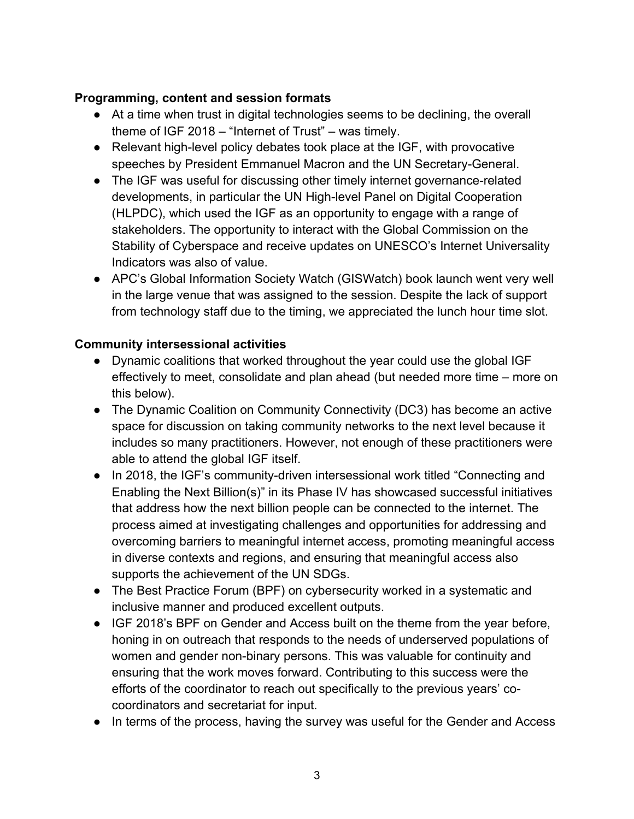#### **Programming, content and session formats**

- At a time when trust in digital technologies seems to be declining, the overall theme of IGF 2018 – "Internet of Trust" – was timely.
- Relevant high-level policy debates took place at the IGF, with provocative speeches by President Emmanuel Macron and the UN Secretary-General.
- The IGF was useful for discussing other timely internet governance-related developments, in particular the UN High-level Panel on Digital Cooperation (HLPDC), which used the IGF as an opportunity to engage with a range of stakeholders. The opportunity to interact with the Global Commission on the Stability of Cyberspace and receive updates on UNESCO's Internet Universality Indicators was also of value.
- APC's Global Information Society Watch (GISWatch) book launch went very well in the large venue that was assigned to the session. Despite the lack of support from technology staff due to the timing, we appreciated the lunch hour time slot.

#### **Community intersessional activities**

- Dynamic coalitions that worked throughout the year could use the global IGF effectively to meet, consolidate and plan ahead (but needed more time – more on this below).
- The Dynamic Coalition on Community Connectivity (DC3) has become an active space for discussion on taking community networks to the next level because it includes so many practitioners. However, not enough of these practitioners were able to attend the global IGF itself.
- In 2018, the IGF's community-driven intersessional work titled "Connecting and Enabling the Next Billion(s)" in its Phase IV has showcased successful initiatives that address how the next billion people can be connected to the internet. The process aimed at investigating challenges and opportunities for addressing and overcoming barriers to meaningful internet access, promoting meaningful access in diverse contexts and regions, and ensuring that meaningful access also supports the achievement of the UN SDGs.
- The Best Practice Forum (BPF) on cybersecurity worked in a systematic and inclusive manner and produced excellent outputs.
- IGF 2018's BPF on Gender and Access built on the theme from the year before, honing in on outreach that responds to the needs of underserved populations of women and gender non-binary persons. This was valuable for continuity and ensuring that the work moves forward. Contributing to this success were the efforts of the coordinator to reach out specifically to the previous years' cocoordinators and secretariat for input.
- In terms of the process, having the survey was useful for the Gender and Access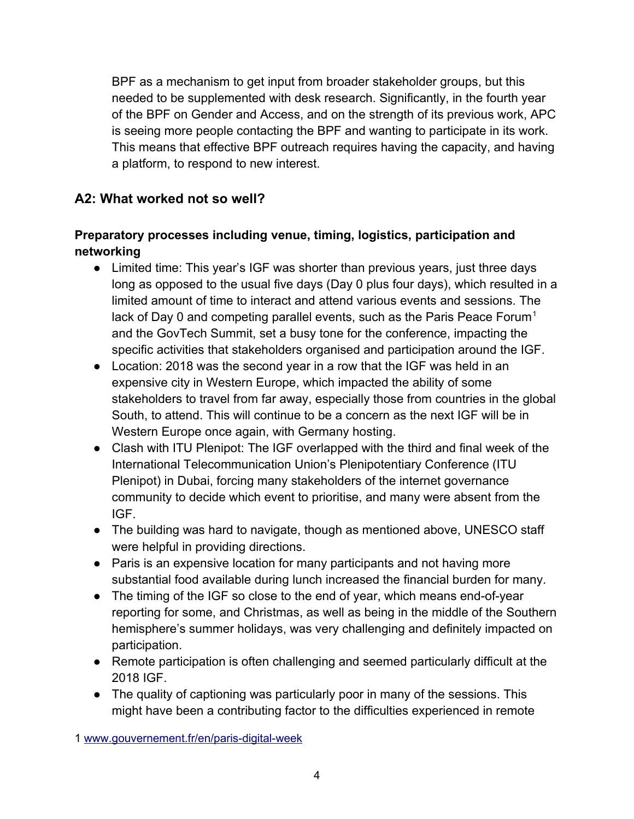BPF as a mechanism to get input from broader stakeholder groups, but this needed to be supplemented with desk research. Significantly, in the fourth year of the BPF on Gender and Access, and on the strength of its previous work, APC is seeing more people contacting the BPF and wanting to participate in its work. This means that effective BPF outreach requires having the capacity, and having a platform, to respond to new interest.

## **A2: What worked not so well?**

#### **Preparatory processes including venue, timing, logistics, participation and networking**

- Limited time: This year's IGF was shorter than previous years, just three days long as opposed to the usual five days (Day 0 plus four days), which resulted in a limited amount of time to interact and attend various events and sessions. The lack of Day 0 and competing parallel events, such as the Paris Peace Forum<sup>[1](#page-3-0)</sup> and the GovTech Summit, set a busy tone for the conference, impacting the specific activities that stakeholders organised and participation around the IGF.
- Location: 2018 was the second year in a row that the IGF was held in an expensive city in Western Europe, which impacted the ability of some stakeholders to travel from far away, especially those from countries in the global South, to attend. This will continue to be a concern as the next IGF will be in Western Europe once again, with Germany hosting.
- Clash with ITU Plenipot: The IGF overlapped with the third and final week of the International Telecommunication Union's Plenipotentiary Conference (ITU Plenipot) in Dubai, forcing many stakeholders of the internet governance community to decide which event to prioritise, and many were absent from the IGF.
- The building was hard to navigate, though as mentioned above, UNESCO staff were helpful in providing directions.
- Paris is an expensive location for many participants and not having more substantial food available during lunch increased the financial burden for many.
- The timing of the IGF so close to the end of year, which means end-of-year reporting for some, and Christmas, as well as being in the middle of the Southern hemisphere's summer holidays, was very challenging and definitely impacted on participation.
- Remote participation is often challenging and seemed particularly difficult at the 2018 IGF.
- The quality of captioning was particularly poor in many of the sessions. This might have been a contributing factor to the difficulties experienced in remote

<span id="page-3-0"></span>1 [www.gouvernement.fr/en/paris-digital-week](https://www.gouvernement.fr/en/paris-digital-week)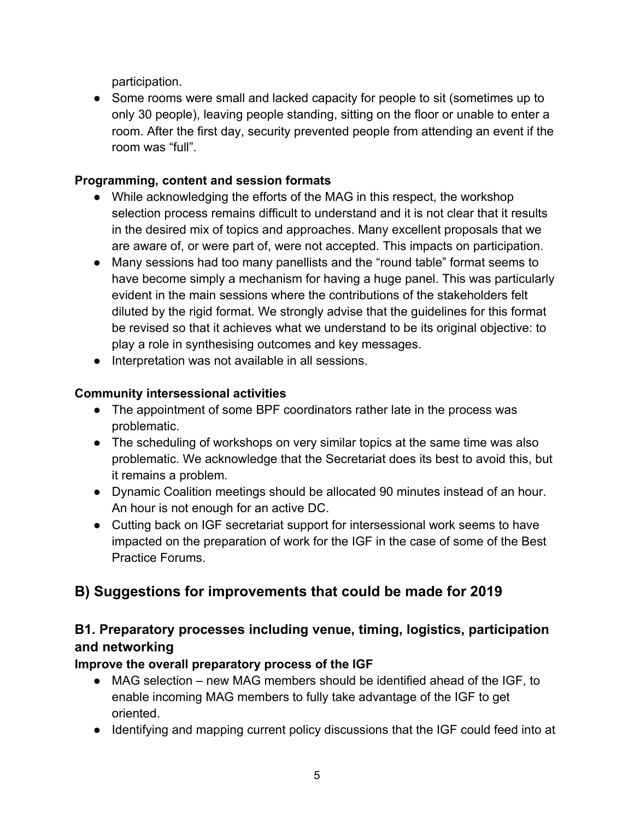participation.

● Some rooms were small and lacked capacity for people to sit (sometimes up to only 30 people), leaving people standing, sitting on the floor or unable to enter a room. After the first day, security prevented people from attending an event if the room was "full".

#### **Programming, content and session formats**

- While acknowledging the efforts of the MAG in this respect, the workshop selection process remains difficult to understand and it is not clear that it results in the desired mix of topics and approaches. Many excellent proposals that we are aware of, or were part of, were not accepted. This impacts on participation.
- Many sessions had too many panellists and the "round table" format seems to have become simply a mechanism for having a huge panel. This was particularly evident in the main sessions where the contributions of the stakeholders felt diluted by the rigid format. We strongly advise that the guidelines for this format be revised so that it achieves what we understand to be its original objective: to play a role in synthesising outcomes and key messages.
- Interpretation was not available in all sessions.

#### **Community intersessional activities**

- The appointment of some BPF coordinators rather late in the process was problematic.
- The scheduling of workshops on very similar topics at the same time was also problematic. We acknowledge that the Secretariat does its best to avoid this, but it remains a problem.
- Dynamic Coalition meetings should be allocated 90 minutes instead of an hour. An hour is not enough for an active DC.
- Cutting back on IGF secretariat support for intersessional work seems to have impacted on the preparation of work for the IGF in the case of some of the Best Practice Forums.

# **B) Suggestions for improvements that could be made for 2019**

# **B1. Preparatory processes including venue, timing, logistics, participation and networking**

#### **Improve the overall preparatory process of the IGF**

- MAG selection new MAG members should be identified ahead of the IGF, to enable incoming MAG members to fully take advantage of the IGF to get oriented.
- Identifying and mapping current policy discussions that the IGF could feed into at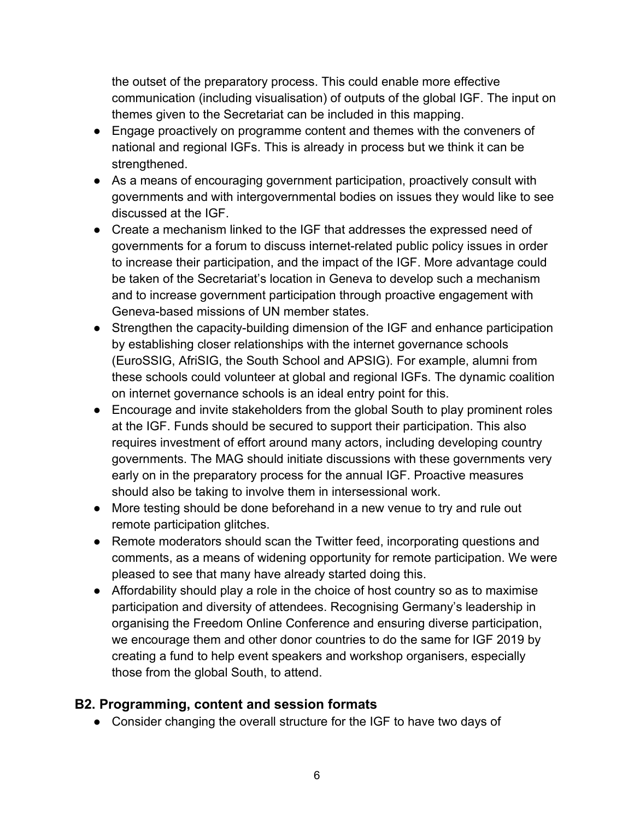the outset of the preparatory process. This could enable more effective communication (including visualisation) of outputs of the global IGF. The input on themes given to the Secretariat can be included in this mapping.

- Engage proactively on programme content and themes with the conveners of national and regional IGFs. This is already in process but we think it can be strengthened.
- As a means of encouraging government participation, proactively consult with governments and with intergovernmental bodies on issues they would like to see discussed at the IGF.
- Create a mechanism linked to the IGF that addresses the expressed need of governments for a forum to discuss internet-related public policy issues in order to increase their participation, and the impact of the IGF. More advantage could be taken of the Secretariat's location in Geneva to develop such a mechanism and to increase government participation through proactive engagement with Geneva-based missions of UN member states.
- Strengthen the capacity-building dimension of the IGF and enhance participation by establishing closer relationships with the internet governance schools (EuroSSIG, AfriSIG, the South School and APSIG). For example, alumni from these schools could volunteer at global and regional IGFs. The dynamic coalition on internet governance schools is an ideal entry point for this.
- Encourage and invite stakeholders from the global South to play prominent roles at the IGF. Funds should be secured to support their participation. This also requires investment of effort around many actors, including developing country governments. The MAG should initiate discussions with these governments very early on in the preparatory process for the annual IGF. Proactive measures should also be taking to involve them in intersessional work.
- More testing should be done beforehand in a new venue to try and rule out remote participation glitches.
- Remote moderators should scan the Twitter feed, incorporating questions and comments, as a means of widening opportunity for remote participation. We were pleased to see that many have already started doing this.
- Affordability should play a role in the choice of host country so as to maximise participation and diversity of attendees. Recognising Germany's leadership in organising the Freedom Online Conference and ensuring diverse participation, we encourage them and other donor countries to do the same for IGF 2019 by creating a fund to help event speakers and workshop organisers, especially those from the global South, to attend.

## **B2. Programming, content and session formats**

● Consider changing the overall structure for the IGF to have two days of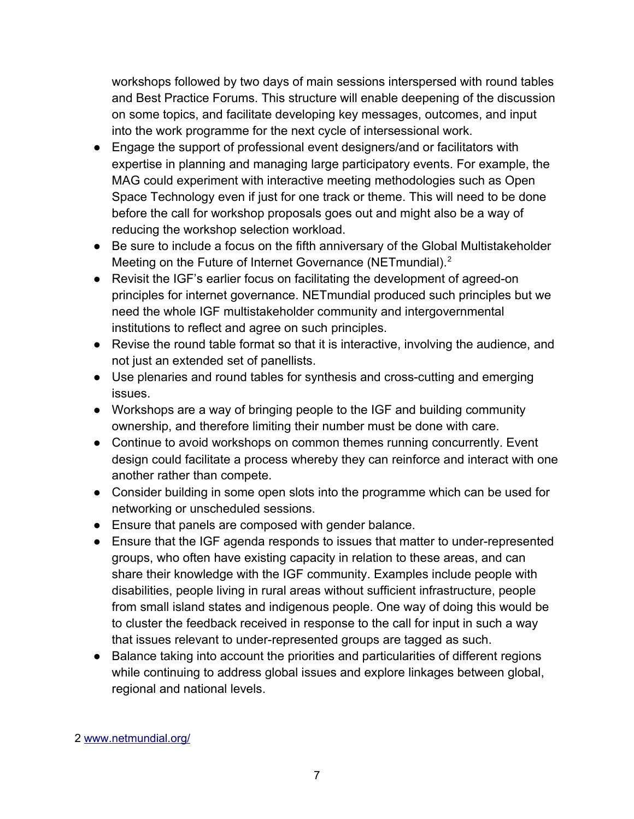workshops followed by two days of main sessions interspersed with round tables and Best Practice Forums. This structure will enable deepening of the discussion on some topics, and facilitate developing key messages, outcomes, and input into the work programme for the next cycle of intersessional work.

- Engage the support of professional event designers/and or facilitators with expertise in planning and managing large participatory events. For example, the MAG could experiment with interactive meeting methodologies such as Open Space Technology even if just for one track or theme. This will need to be done before the call for workshop proposals goes out and might also be a way of reducing the workshop selection workload.
- Be sure to include a focus on the fifth anniversary of the Global Multistakeholder Meeting on the Future of Internet Governance (NETmundial).<sup>[2](#page-6-0)</sup>
- Revisit the IGF's earlier focus on facilitating the development of agreed-on principles for internet governance. NETmundial produced such principles but we need the whole IGF multistakeholder community and intergovernmental institutions to reflect and agree on such principles.
- Revise the round table format so that it is interactive, involving the audience, and not just an extended set of panellists.
- Use plenaries and round tables for synthesis and cross-cutting and emerging issues.
- Workshops are a way of bringing people to the IGF and building community ownership, and therefore limiting their number must be done with care.
- Continue to avoid workshops on common themes running concurrently. Event design could facilitate a process whereby they can reinforce and interact with one another rather than compete.
- Consider building in some open slots into the programme which can be used for networking or unscheduled sessions.
- Ensure that panels are composed with gender balance.
- Ensure that the IGF agenda responds to issues that matter to under-represented groups, who often have existing capacity in relation to these areas, and can share their knowledge with the IGF community. Examples include people with disabilities, people living in rural areas without sufficient infrastructure, people from small island states and indigenous people. One way of doing this would be to cluster the feedback received in response to the call for input in such a way that issues relevant to under-represented groups are tagged as such.
- <span id="page-6-0"></span>● Balance taking into account the priorities and particularities of different regions while continuing to address global issues and explore linkages between global, regional and national levels.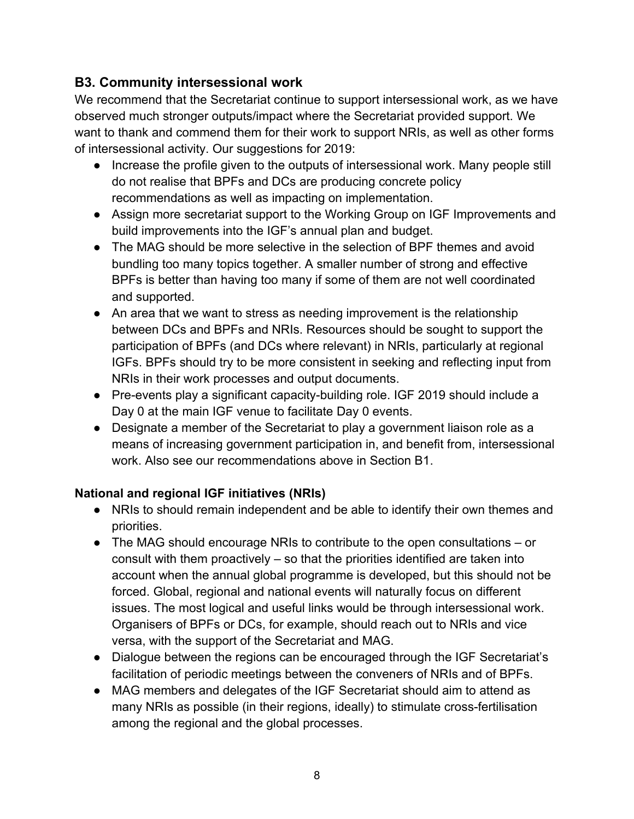## **B3. Community intersessional work**

We recommend that the Secretariat continue to support intersessional work, as we have observed much stronger outputs/impact where the Secretariat provided support. We want to thank and commend them for their work to support NRIs, as well as other forms of intersessional activity. Our suggestions for 2019:

- Increase the profile given to the outputs of intersessional work. Many people still do not realise that BPFs and DCs are producing concrete policy recommendations as well as impacting on implementation.
- Assign more secretariat support to the Working Group on IGF Improvements and build improvements into the IGF's annual plan and budget.
- The MAG should be more selective in the selection of BPF themes and avoid bundling too many topics together. A smaller number of strong and effective BPFs is better than having too many if some of them are not well coordinated and supported.
- An area that we want to stress as needing improvement is the relationship between DCs and BPFs and NRIs. Resources should be sought to support the participation of BPFs (and DCs where relevant) in NRIs, particularly at regional IGFs. BPFs should try to be more consistent in seeking and reflecting input from NRIs in their work processes and output documents.
- Pre-events play a significant capacity-building role. IGF 2019 should include a Day 0 at the main IGF venue to facilitate Day 0 events.
- Designate a member of the Secretariat to play a government liaison role as a means of increasing government participation in, and benefit from, intersessional work. Also see our recommendations above in Section B1.

#### **National and regional IGF initiatives (NRIs)**

- NRIs to should remain independent and be able to identify their own themes and priorities.
- The MAG should encourage NRIs to contribute to the open consultations or consult with them proactively – so that the priorities identified are taken into account when the annual global programme is developed, but this should not be forced. Global, regional and national events will naturally focus on different issues. The most logical and useful links would be through intersessional work. Organisers of BPFs or DCs, for example, should reach out to NRIs and vice versa, with the support of the Secretariat and MAG.
- Dialogue between the regions can be encouraged through the IGF Secretariat's facilitation of periodic meetings between the conveners of NRIs and of BPFs.
- MAG members and delegates of the IGF Secretariat should aim to attend as many NRIs as possible (in their regions, ideally) to stimulate cross-fertilisation among the regional and the global processes.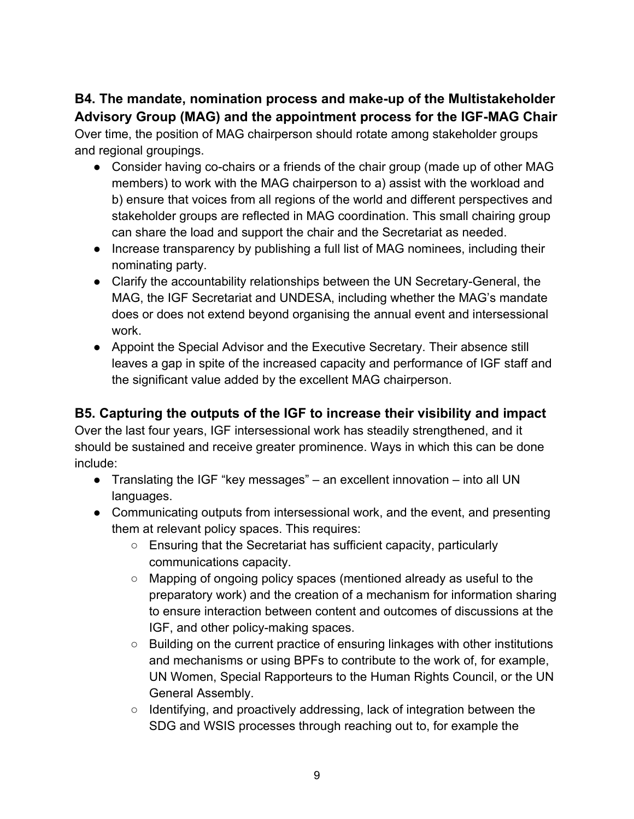## **B4. The mandate, nomination process and make-up of the Multistakeholder Advisory Group (MAG) and the appointment process for the IGF-MAG Chair**

Over time, the position of MAG chairperson should rotate among stakeholder groups and regional groupings.

- Consider having co-chairs or a friends of the chair group (made up of other MAG members) to work with the MAG chairperson to a) assist with the workload and b) ensure that voices from all regions of the world and different perspectives and stakeholder groups are reflected in MAG coordination. This small chairing group can share the load and support the chair and the Secretariat as needed.
- Increase transparency by publishing a full list of MAG nominees, including their nominating party.
- Clarify the accountability relationships between the UN Secretary-General, the MAG, the IGF Secretariat and UNDESA, including whether the MAG's mandate does or does not extend beyond organising the annual event and intersessional work.
- Appoint the Special Advisor and the Executive Secretary. Their absence still leaves a gap in spite of the increased capacity and performance of IGF staff and the significant value added by the excellent MAG chairperson.

## **B5. Capturing the outputs of the IGF to increase their visibility and impact**

Over the last four years, IGF intersessional work has steadily strengthened, and it should be sustained and receive greater prominence. Ways in which this can be done include:

- Translating the IGF "key messages" an excellent innovation into all UN languages.
- Communicating outputs from intersessional work, and the event, and presenting them at relevant policy spaces. This requires:
	- Ensuring that the Secretariat has sufficient capacity, particularly communications capacity.
	- Mapping of ongoing policy spaces (mentioned already as useful to the preparatory work) and the creation of a mechanism for information sharing to ensure interaction between content and outcomes of discussions at the IGF, and other policy-making spaces.
	- Building on the current practice of ensuring linkages with other institutions and mechanisms or using BPFs to contribute to the work of, for example, UN Women, Special Rapporteurs to the Human Rights Council, or the UN General Assembly.
	- Identifying, and proactively addressing, lack of integration between the SDG and WSIS processes through reaching out to, for example the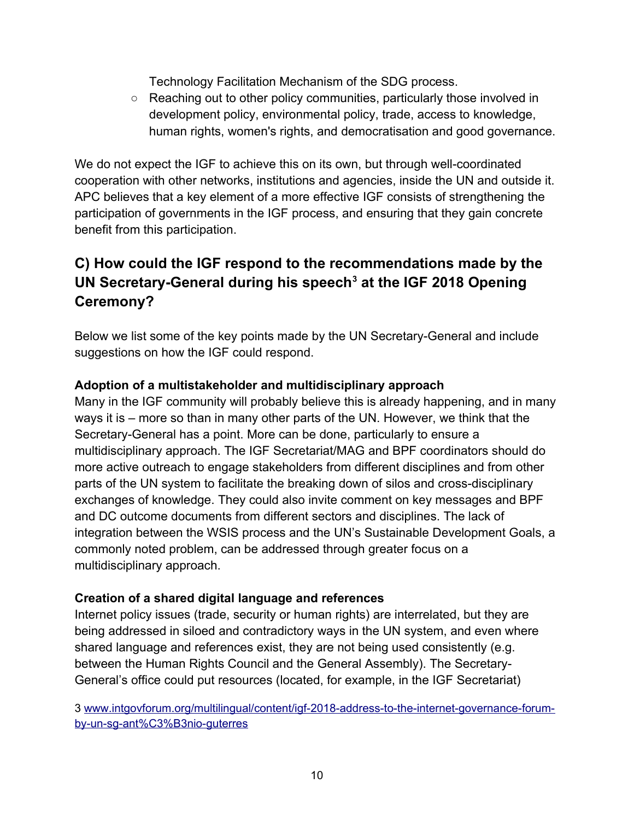Technology Facilitation Mechanism of the SDG process.

○ Reaching out to other policy communities, particularly those involved in development policy, environmental policy, trade, access to knowledge, human rights, women's rights, and democratisation and good governance.

We do not expect the IGF to achieve this on its own, but through well-coordinated cooperation with other networks, institutions and agencies, inside the UN and outside it. APC believes that a key element of a more effective IGF consists of strengthening the participation of governments in the IGF process, and ensuring that they gain concrete benefit from this participation.

# **C) How could the IGF respond to the recommendations made by the UN Secretary-General during his speech[3](#page-9-0) at the IGF 2018 Opening Ceremony?**

Below we list some of the key points made by the UN Secretary-General and include suggestions on how the IGF could respond.

#### **Adoption of a multistakeholder and multidisciplinary approach**

Many in the IGF community will probably believe this is already happening, and in many ways it is – more so than in many other parts of the UN. However, we think that the Secretary-General has a point. More can be done, particularly to ensure a multidisciplinary approach. The IGF Secretariat/MAG and BPF coordinators should do more active outreach to engage stakeholders from different disciplines and from other parts of the UN system to facilitate the breaking down of silos and cross-disciplinary exchanges of knowledge. They could also invite comment on key messages and BPF and DC outcome documents from different sectors and disciplines. The lack of integration between the WSIS process and the UN's Sustainable Development Goals, a commonly noted problem, can be addressed through greater focus on a multidisciplinary approach.

#### **Creation of a shared digital language and references**

Internet policy issues (trade, security or human rights) are interrelated, but they are being addressed in siloed and contradictory ways in the UN system, and even where shared language and references exist, they are not being used consistently (e.g. between the Human Rights Council and the General Assembly). The Secretary-General's office could put resources (located, for example, in the IGF Secretariat)

<span id="page-9-0"></span>3 [www.intgovforum.org/multilingual/content/igf-2018-address-to-the-internet-governance-forum](http://www.intgovforum.org/multilingual/content/igf-2018-address-to-the-internet-governance-forum-by-un-sg-ant%C3%B3nio-guterres)[by-un-sg-ant%C3%B3nio-guterres](http://www.intgovforum.org/multilingual/content/igf-2018-address-to-the-internet-governance-forum-by-un-sg-ant%C3%B3nio-guterres)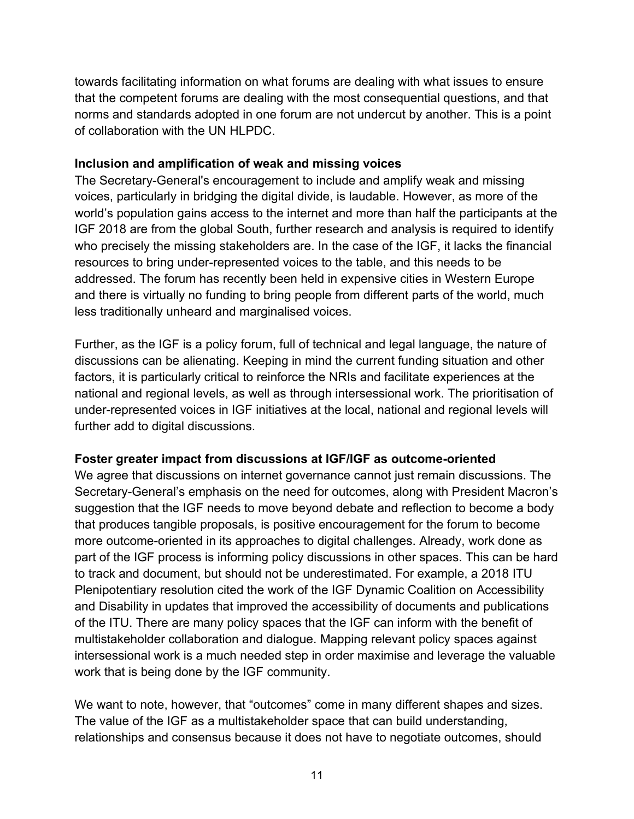towards facilitating information on what forums are dealing with what issues to ensure that the competent forums are dealing with the most consequential questions, and that norms and standards adopted in one forum are not undercut by another. This is a point of collaboration with the UN HLPDC.

#### **Inclusion and amplification of weak and missing voices**

The Secretary-General's encouragement to include and amplify weak and missing voices, particularly in bridging the digital divide, is laudable. However, as more of the world's population gains access to the internet and more than half the participants at the IGF 2018 are from the global South, further research and analysis is required to identify who precisely the missing stakeholders are. In the case of the IGF, it lacks the financial resources to bring under-represented voices to the table, and this needs to be addressed. The forum has recently been held in expensive cities in Western Europe and there is virtually no funding to bring people from different parts of the world, much less traditionally unheard and marginalised voices.

Further, as the IGF is a policy forum, full of technical and legal language, the nature of discussions can be alienating. Keeping in mind the current funding situation and other factors, it is particularly critical to reinforce the NRIs and facilitate experiences at the national and regional levels, as well as through intersessional work. The prioritisation of under-represented voices in IGF initiatives at the local, national and regional levels will further add to digital discussions.

#### **Foster greater impact from discussions at IGF/IGF as outcome-oriented**

We agree that discussions on internet governance cannot just remain discussions. The Secretary-General's emphasis on the need for outcomes, along with President Macron's suggestion that the IGF needs to move beyond debate and reflection to become a body that produces tangible proposals, is positive encouragement for the forum to become more outcome-oriented in its approaches to digital challenges. Already, work done as part of the IGF process is informing policy discussions in other spaces. This can be hard to track and document, but should not be underestimated. For example, a 2018 ITU Plenipotentiary resolution cited the work of the IGF Dynamic Coalition on Accessibility and Disability in updates that improved the accessibility of documents and publications of the ITU. There are many policy spaces that the IGF can inform with the benefit of multistakeholder collaboration and dialogue. Mapping relevant policy spaces against intersessional work is a much needed step in order maximise and leverage the valuable work that is being done by the IGF community.

We want to note, however, that "outcomes" come in many different shapes and sizes. The value of the IGF as a multistakeholder space that can build understanding, relationships and consensus because it does not have to negotiate outcomes, should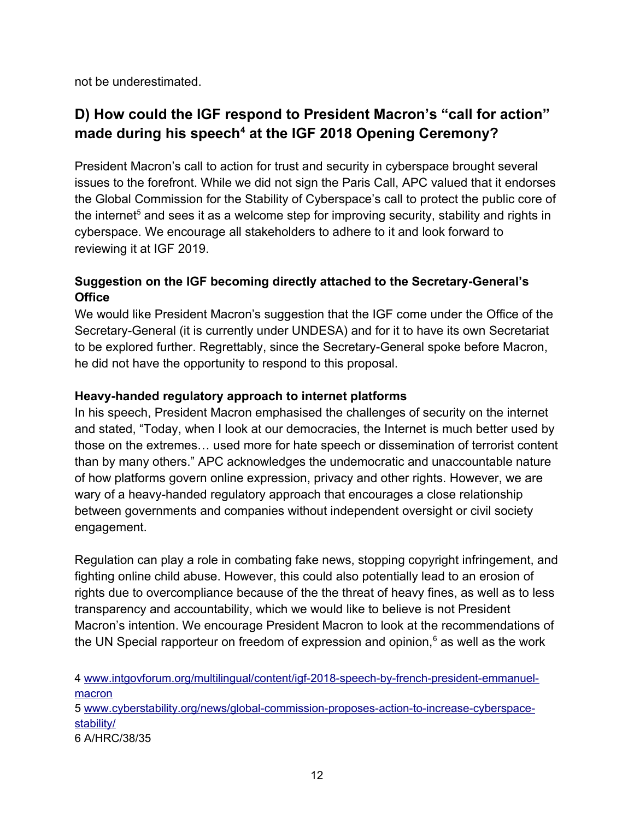not be underestimated.

# **D) How could the IGF respond to President Macron's "call for action" made during his speech[4](#page-11-0) at the IGF 2018 Opening Ceremony?**

President Macron's call to action for trust and security in cyberspace brought several issues to the forefront. While we did not sign the Paris Call, APC valued that it endorses the Global Commission for the Stability of Cyberspace's call to protect the public core of the internet $^5$  $^5$  and sees it as a welcome step for improving security, stability and rights in cyberspace. We encourage all stakeholders to adhere to it and look forward to reviewing it at IGF 2019.

#### **Suggestion on the IGF becoming directly attached to the Secretary-General's Office**

We would like President Macron's suggestion that the IGF come under the Office of the Secretary-General (it is currently under UNDESA) and for it to have its own Secretariat to be explored further. Regrettably, since the Secretary-General spoke before Macron, he did not have the opportunity to respond to this proposal.

#### **Heavy-handed regulatory approach to internet platforms**

In his speech, President Macron emphasised the challenges of security on the internet and stated, "Today, when I look at our democracies, the Internet is much better used by those on the extremes… used more for hate speech or dissemination of terrorist content than by many others." APC acknowledges the undemocratic and unaccountable nature of how platforms govern online expression, privacy and other rights. However, we are wary of a heavy-handed regulatory approach that encourages a close relationship between governments and companies without independent oversight or civil society engagement.

Regulation can play a role in combating fake news, stopping copyright infringement, and fighting online child abuse. However, this could also potentially lead to an erosion of rights due to overcompliance because of the the threat of heavy fines, as well as to less transparency and accountability, which we would like to believe is not President Macron's intention. We encourage President Macron to look at the recommendations of the UN Special rapporteur on freedom of expression and opinion, $^6$  $^6$  as well as the work

<span id="page-11-0"></span>4 [www.intgovforum.org/multilingual/content/igf-2018-speech-by-french-president-emmanuel](http://www.intgovforum.org/multilingual/content/igf-2018-speech-by-french-president-emmanuel-macron)[macron](http://www.intgovforum.org/multilingual/content/igf-2018-speech-by-french-president-emmanuel-macron)

<span id="page-11-1"></span>5 [www. cyberstability.org/news/global-commission-proposes-action-to-increase-cyberspace](https://www.cyberstability.org/news/global-commission-proposes-action-to-increase-cyberspace-stability/)[stability/](https://www.cyberstability.org/news/global-commission-proposes-action-to-increase-cyberspace-stability/)

<span id="page-11-2"></span>6 A/HRC/38/35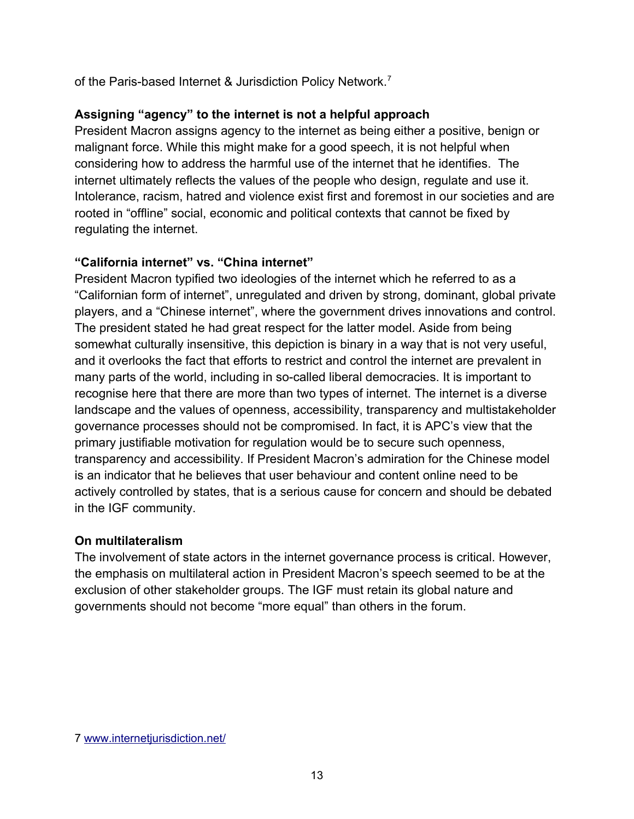of the Paris-based Internet & Jurisdiction Policy Network.[7](#page-12-0)

#### **Assigning "agency" to the internet is not a helpful approach**

President Macron assigns agency to the internet as being either a positive, benign or malignant force. While this might make for a good speech, it is not helpful when considering how to address the harmful use of the internet that he identifies. The internet ultimately reflects the values of the people who design, regulate and use it. Intolerance, racism, hatred and violence exist first and foremost in our societies and are rooted in "offline" social, economic and political contexts that cannot be fixed by regulating the internet.

#### **"California internet" vs. "China internet"**

President Macron typified two ideologies of the internet which he referred to as a "Californian form of internet", unregulated and driven by strong, dominant, global private players, and a "Chinese internet", where the government drives innovations and control. The president stated he had great respect for the latter model. Aside from being somewhat culturally insensitive, this depiction is binary in a way that is not very useful, and it overlooks the fact that efforts to restrict and control the internet are prevalent in many parts of the world, including in so-called liberal democracies. It is important to recognise here that there are more than two types of internet. The internet is a diverse landscape and the values of openness, accessibility, transparency and multistakeholder governance processes should not be compromised. In fact, it is APC's view that the primary justifiable motivation for regulation would be to secure such openness, transparency and accessibility. If President Macron's admiration for the Chinese model is an indicator that he believes that user behaviour and content online need to be actively controlled by states, that is a serious cause for concern and should be debated in the IGF community.

#### **On multilateralism**

The involvement of state actors in the internet governance process is critical. However, the emphasis on multilateral action in President Macron's speech seemed to be at the exclusion of other stakeholder groups. The IGF must retain its global nature and governments should not become "more equal" than others in the forum.

<span id="page-12-0"></span><sup>7</sup> [www.internetjurisdiction.net/](https://www.internetjurisdiction.net/)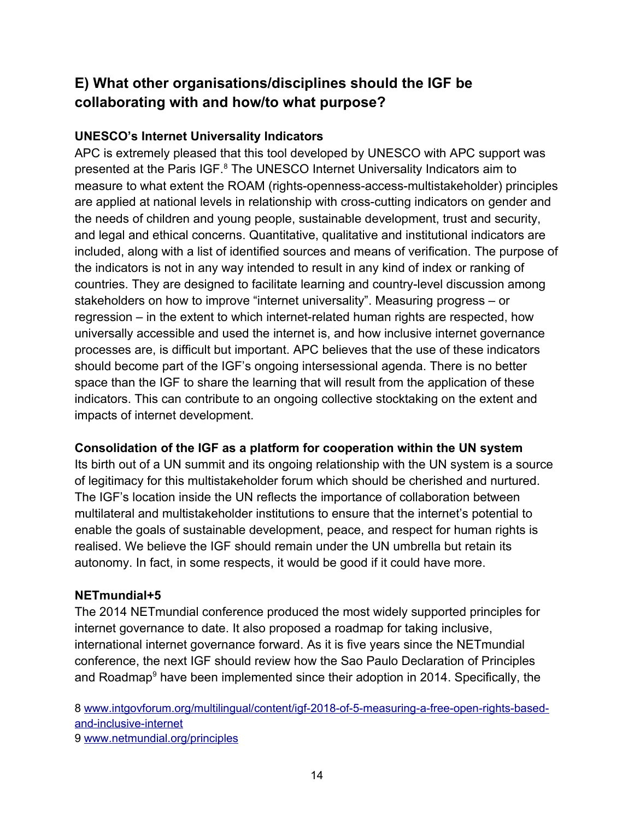# **E) What other organisations/disciplines should the IGF be collaborating with and how/to what purpose?**

#### **UNESCO's Internet Universality Indicators**

APC is extremely pleased that this tool developed by UNESCO with APC support was presented at the Paris IGF.<sup>[8](#page-13-0)</sup> The UNESCO Internet Universality Indicators aim to measure to what extent the ROAM (rights-openness-access-multistakeholder) principles are applied at national levels in relationship with cross-cutting indicators on gender and the needs of children and young people, sustainable development, trust and security, and legal and ethical concerns. Quantitative, qualitative and institutional indicators are included, along with a list of identified sources and means of verification. The purpose of the indicators is not in any way intended to result in any kind of index or ranking of countries. They are designed to facilitate learning and country-level discussion among stakeholders on how to improve "internet universality". Measuring progress – or regression – in the extent to which internet-related human rights are respected, how universally accessible and used the internet is, and how inclusive internet governance processes are, is difficult but important. APC believes that the use of these indicators should become part of the IGF's ongoing intersessional agenda. There is no better space than the IGF to share the learning that will result from the application of these indicators. This can contribute to an ongoing collective stocktaking on the extent and impacts of internet development.

#### **Consolidation of the IGF as a platform for cooperation within the UN system**

Its birth out of a UN summit and its ongoing relationship with the UN system is a source of legitimacy for this multistakeholder forum which should be cherished and nurtured. The IGF's location inside the UN reflects the importance of collaboration between multilateral and multistakeholder institutions to ensure that the internet's potential to enable the goals of sustainable development, peace, and respect for human rights is realised. We believe the IGF should remain under the UN umbrella but retain its autonomy. In fact, in some respects, it would be good if it could have more.

#### **NETmundial+5**

The 2014 NETmundial conference produced the most widely supported principles for internet governance to date. It also proposed a roadmap for taking inclusive, international internet governance forward. As it is five years since the NETmundial conference, the next IGF should review how the Sao Paulo Declaration of Principles and Roadmap $^9$  $^9$  have been implemented since their adoption in 2014. Specifically, the

<span id="page-13-1"></span><span id="page-13-0"></span>8 [www.intgovforum.org/multilingual/content/igf-2018-of-5-measuring-a-free-open-rights-based](https://www.intgovforum.org/multilingual/content/igf-2018-of-5-measuring-a-free-open-rights-based-and-inclusive-internet)[and-inclusive-internet](https://www.intgovforum.org/multilingual/content/igf-2018-of-5-measuring-a-free-open-rights-based-and-inclusive-internet) 9 [www.netmundial.org/principles](http://www.netmundial.org/principles)

14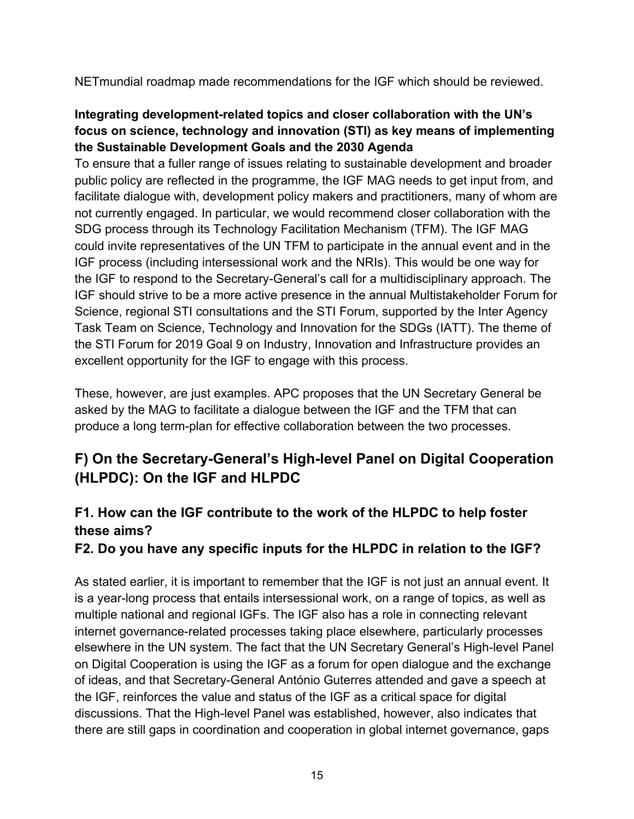NETmundial roadmap made recommendations for the IGF which should be reviewed.

#### **Integrating development-related topics and closer collaboration with the UN's focus on science, technology and innovation (STI) as key means of implementing the Sustainable Development Goals and the 2030 Agenda**

To ensure that a fuller range of issues relating to sustainable development and broader public policy are reflected in the programme, the IGF MAG needs to get input from, and facilitate dialogue with, development policy makers and practitioners, many of whom are not currently engaged. In particular, we would recommend closer collaboration with the SDG process through its Technology Facilitation Mechanism (TFM). The IGF MAG could invite representatives of the UN TFM to participate in the annual event and in the IGF process (including intersessional work and the NRIs). This would be one way for the IGF to respond to the Secretary-General's call for a multidisciplinary approach. The IGF should strive to be a more active presence in the annual Multistakeholder Forum for Science, regional STI consultations and the STI Forum, supported by the Inter Agency Task Team on Science, Technology and Innovation for the SDGs (IATT). The theme of the STI Forum for 2019 Goal 9 on Industry, Innovation and Infrastructure provides an excellent opportunity for the IGF to engage with this process.

These, however, are just examples. APC proposes that the UN Secretary General be asked by the MAG to facilitate a dialogue between the IGF and the TFM that can produce a long term-plan for effective collaboration between the two processes.

# **F) On the Secretary-General's High-level Panel on Digital Cooperation (HLPDC): On the IGF and HLPDC**

## **F1. How can the IGF contribute to the work of the HLPDC to help foster these aims?**

#### **F2. Do you have any specific inputs for the HLPDC in relation to the IGF?**

As stated earlier, it is important to remember that the IGF is not just an annual event. It is a year-long process that entails intersessional work, on a range of topics, as well as multiple national and regional IGFs. The IGF also has a role in connecting relevant internet governance-related processes taking place elsewhere, particularly processes elsewhere in the UN system. The fact that the UN Secretary General's High-level Panel on Digital Cooperation is using the IGF as a forum for open dialogue and the exchange of ideas, and that Secretary-General António Guterres attended and gave a speech at the IGF, reinforces the value and status of the IGF as a critical space for digital discussions. That the High-level Panel was established, however, also indicates that there are still gaps in coordination and cooperation in global internet governance, gaps